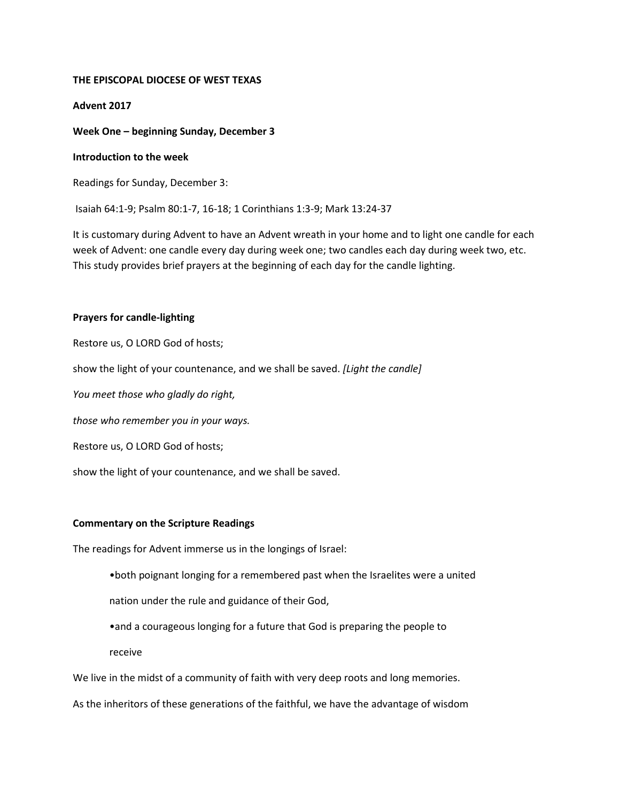## **THE EPISCOPAL DIOCESE OF WEST TEXAS**

### **Advent 2017**

**Week One – beginning Sunday, December 3**

#### **Introduction to the week**

Readings for Sunday, December 3:

Isaiah 64:1-9; Psalm 80:1-7, 16-18; 1 Corinthians 1:3-9; Mark 13:24-37

It is customary during Advent to have an Advent wreath in your home and to light one candle for each week of Advent: one candle every day during week one; two candles each day during week two, etc. This study provides brief prayers at the beginning of each day for the candle lighting.

# **Prayers for candle-lighting**

Restore us, O LORD God of hosts;

show the light of your countenance, and we shall be saved. *[Light the candle]*

*You meet those who gladly do right,*

*those who remember you in your ways.*

Restore us, O LORD God of hosts;

show the light of your countenance, and we shall be saved.

#### **Commentary on the Scripture Readings**

The readings for Advent immerse us in the longings of Israel:

- •both poignant longing for a remembered past when the Israelites were a united
- nation under the rule and guidance of their God,
- •and a courageous longing for a future that God is preparing the people to

receive

We live in the midst of a community of faith with very deep roots and long memories.

As the inheritors of these generations of the faithful, we have the advantage of wisdom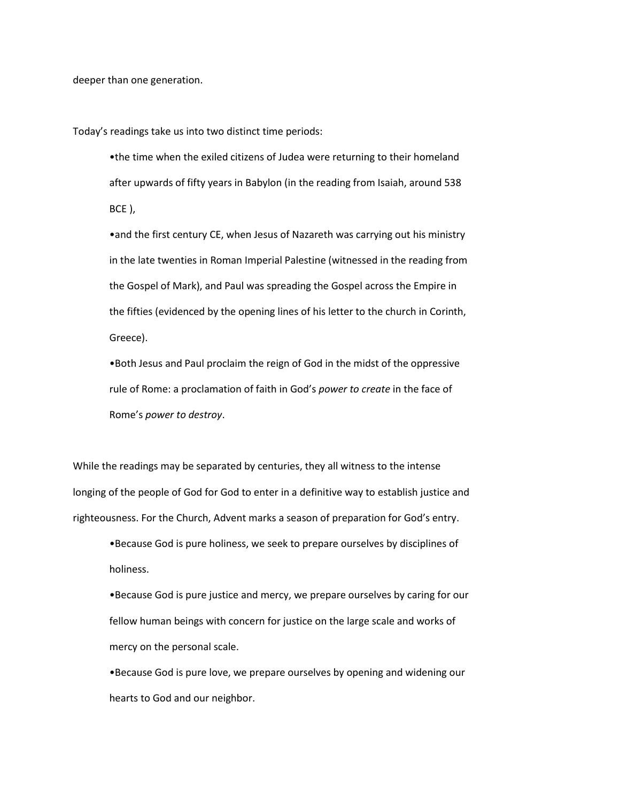deeper than one generation.

Today's readings take us into two distinct time periods:

•the time when the exiled citizens of Judea were returning to their homeland after upwards of fifty years in Babylon (in the reading from Isaiah, around 538 BCE ),

•and the first century CE, when Jesus of Nazareth was carrying out his ministry in the late twenties in Roman Imperial Palestine (witnessed in the reading from the Gospel of Mark), and Paul was spreading the Gospel across the Empire in the fifties (evidenced by the opening lines of his letter to the church in Corinth, Greece).

•Both Jesus and Paul proclaim the reign of God in the midst of the oppressive rule of Rome: a proclamation of faith in God's *power to create* in the face of Rome's *power to destroy*.

While the readings may be separated by centuries, they all witness to the intense longing of the people of God for God to enter in a definitive way to establish justice and righteousness. For the Church, Advent marks a season of preparation for God's entry.

•Because God is pure holiness, we seek to prepare ourselves by disciplines of holiness.

•Because God is pure justice and mercy, we prepare ourselves by caring for our fellow human beings with concern for justice on the large scale and works of mercy on the personal scale.

•Because God is pure love, we prepare ourselves by opening and widening our hearts to God and our neighbor.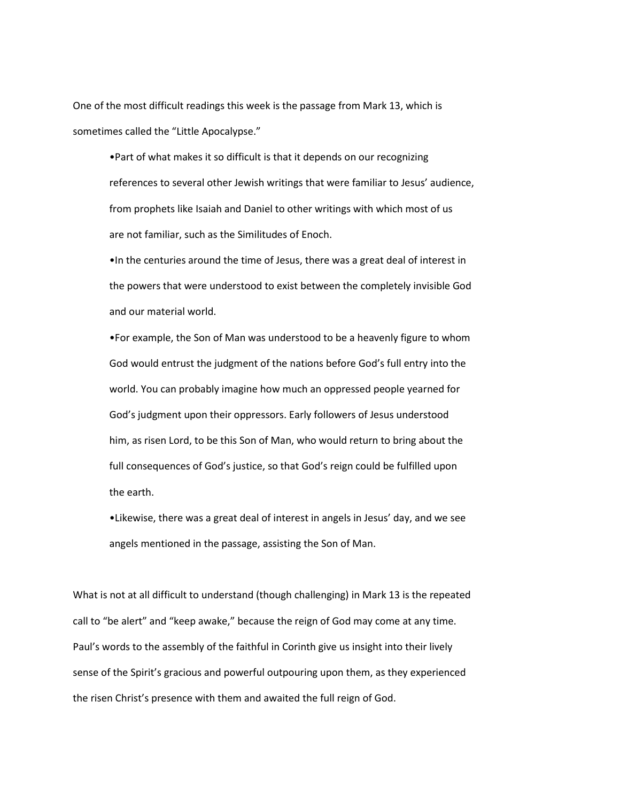One of the most difficult readings this week is the passage from Mark 13, which is sometimes called the "Little Apocalypse."

•Part of what makes it so difficult is that it depends on our recognizing references to several other Jewish writings that were familiar to Jesus' audience, from prophets like Isaiah and Daniel to other writings with which most of us are not familiar, such as the Similitudes of Enoch.

•In the centuries around the time of Jesus, there was a great deal of interest in the powers that were understood to exist between the completely invisible God and our material world.

•For example, the Son of Man was understood to be a heavenly figure to whom God would entrust the judgment of the nations before God's full entry into the world. You can probably imagine how much an oppressed people yearned for God's judgment upon their oppressors. Early followers of Jesus understood him, as risen Lord, to be this Son of Man, who would return to bring about the full consequences of God's justice, so that God's reign could be fulfilled upon the earth.

•Likewise, there was a great deal of interest in angels in Jesus' day, and we see angels mentioned in the passage, assisting the Son of Man.

What is not at all difficult to understand (though challenging) in Mark 13 is the repeated call to "be alert" and "keep awake," because the reign of God may come at any time. Paul's words to the assembly of the faithful in Corinth give us insight into their lively sense of the Spirit's gracious and powerful outpouring upon them, as they experienced the risen Christ's presence with them and awaited the full reign of God.